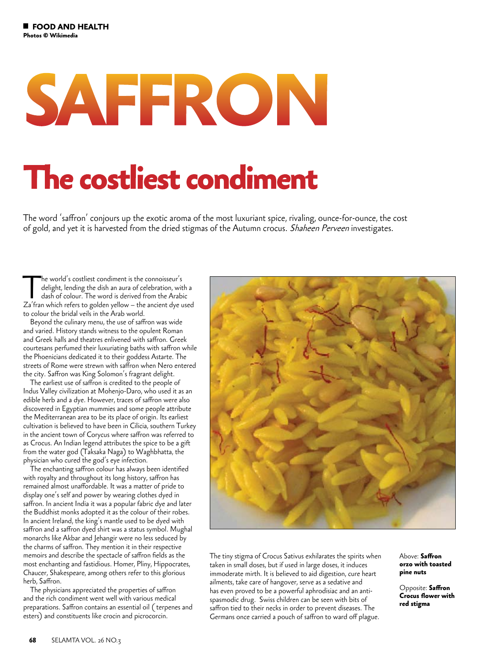## **SAFFRON**

## **The costliest condiment**

The word 'saffron' conjours up the exotic aroma of the most luxuriant spice, rivaling, ounce-for-ounce, the cost of gold, and yet it is harvested from the dried stigmas of the Autumn crocus. Shaheen Perveen investigates.

The world's costliest condiment is the connoisseur's<br>delight, lending the dish an aura of celebration, wit<br>dash of colour. The word is derived from the Arabi<br> $7a'$ fran which refers to golden vellow – the ancient dye u delight, lending the dish an aura of celebration, with a dash of colour. The word is derived from the Arabic Za'fran which refers to golden yellow – the ancient dye used to colour the bridal veils in the Arab world.

Beyond the culinary menu, the use of saffron was wide and varied. History stands witness to the opulent Roman and Greek halls and theatres enlivened with saffron. Greek courtesans perfumed their luxuriating baths with saffron while the Phoenicians dedicated it to their goddess Astarte. The streets of Rome were strewn with saffron when Nero entered the city. Saffron was King Solomon's fragrant delight.

The earliest use of saffron is credited to the people of Indus Valley civilization at Mohenjo-Daro, who used it as an edible herb and a dye. However, traces of saffron were also discovered in Egyptian mummies and some people attribute the Mediterranean area to be its place of origin. Its earliest cultivation is believed to have been in Cilicia, southern Turkey in the ancient town of Corycus where saffron was referred to as Crocus. An Indian legend attributes the spice to be a gift from the water god (Taksaka Naga) to Waghbhatta, the physician who cured the god's eye infection.

The enchanting saffron colour has always been identified with royalty and throughout its long history, saffron has remained almost unaffordable. It was a matter of pride to display one's self and power by wearing clothes dyed in saffron. In ancient India it was a popular fabric dye and later the Buddhist monks adopted it as the colour of their robes. In ancient Ireland, the king's mantle used to be dyed with saffron and a saffron dyed shirt was a status symbol. Mughal monarchs like Akbar and Jehangir were no less seduced by the charms of saffron. They mention it in their respective memoirs and describe the spectacle of saffron fields as the most enchanting and fastidious. Homer, Pliny, Hippocrates, Chaucer, Shakespeare, among others refer to this glorious herb, Saffron.

The physicians appreciated the properties of saffron and the rich condiment went well with various medical preparations. Saffron contains an essential oil ( terpenes and esters) and constituents like crocin and picrocorcin.



The tiny stigma of Crocus Sativus exhilarates the spirits when taken in small doses, but if used in large doses, it induces immoderate mirth. It is believed to aid digestion, cure heart ailments, take care of hangover, serve as a sedative and has even proved to be a powerful aphrodisiac and an antispasmodic drug. Swiss children can be seen with bits of saffron tied to their necks in order to prevent diseases. The Germans once carried a pouch of saffron to ward off plague.

Above: **Saffron orzo with toasted pine nuts**

Opposite: **Saffron Crocus flower with red stigma**